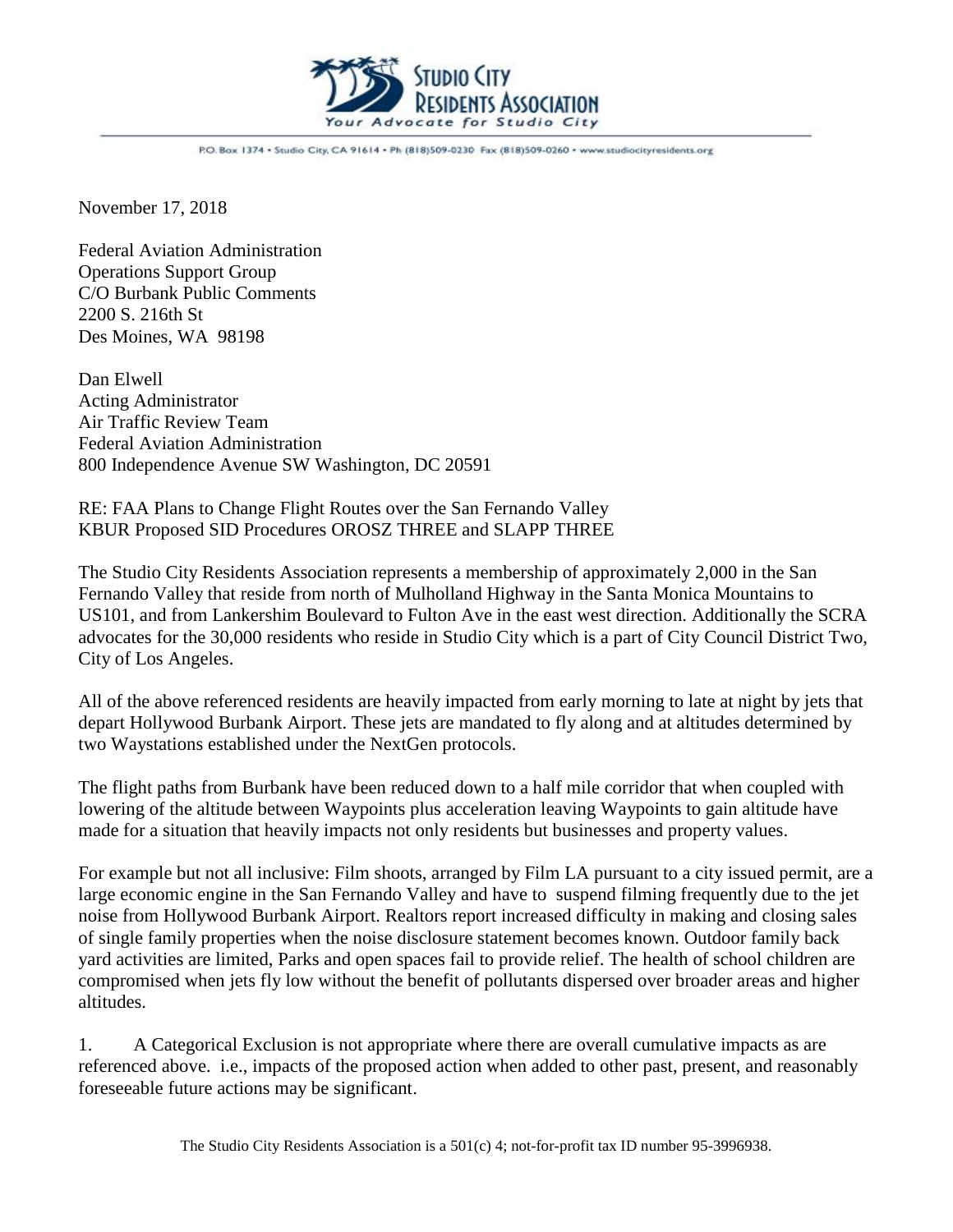

P.O. Box 1374 . Studio City, CA 91614 . Ph (818)509-0230 Fax (818)509-0260 . www.studiocityresidents.org

November 17, 2018

Federal Aviation Administration Operations Support Group C/O Burbank Public Comments 2200 S. 216th St Des Moines, WA 98198

Dan Elwell Acting Administrator Air Traffic Review Team Federal Aviation Administration 800 Independence Avenue SW Washington, DC 20591

RE: FAA Plans to Change Flight Routes over the San Fernando Valley KBUR Proposed SID Procedures OROSZ THREE and SLAPP THREE

The Studio City Residents Association represents a membership of approximately 2,000 in the San Fernando Valley that reside from north of Mulholland Highway in the Santa Monica Mountains to US101, and from Lankershim Boulevard to Fulton Ave in the east west direction. Additionally the SCRA advocates for the 30,000 residents who reside in Studio City which is a part of City Council District Two, City of Los Angeles.

All of the above referenced residents are heavily impacted from early morning to late at night by jets that depart Hollywood Burbank Airport. These jets are mandated to fly along and at altitudes determined by two Waystations established under the NextGen protocols.

The flight paths from Burbank have been reduced down to a half mile corridor that when coupled with lowering of the altitude between Waypoints plus acceleration leaving Waypoints to gain altitude have made for a situation that heavily impacts not only residents but businesses and property values.

For example but not all inclusive: Film shoots, arranged by Film LA pursuant to a city issued permit, are a large economic engine in the San Fernando Valley and have to suspend filming frequently due to the jet noise from Hollywood Burbank Airport. Realtors report increased difficulty in making and closing sales of single family properties when the noise disclosure statement becomes known. Outdoor family back yard activities are limited, Parks and open spaces fail to provide relief. The health of school children are compromised when jets fly low without the benefit of pollutants dispersed over broader areas and higher altitudes.

1. A Categorical Exclusion is not appropriate where there are overall cumulative impacts as are referenced above. i.e., impacts of the proposed action when added to other past, present, and reasonably foreseeable future actions may be significant.